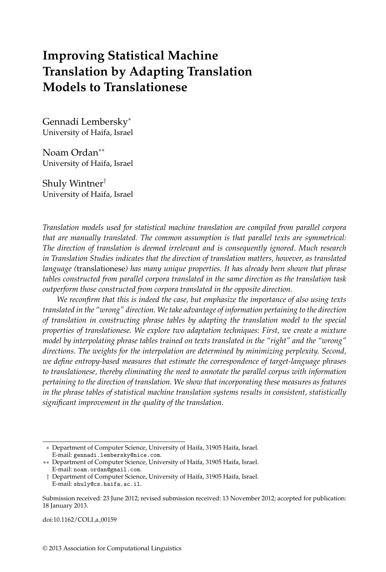# **Improving Statistical Machine Translation by Adapting Translation Models to Translationese**

Gennadi Lembersky<sup>∗</sup> University of Haifa, Israel

Noam Ordan∗∗ University of Haifa, Israel

Shuly Wintner† University of Haifa, Israel

*Translation models used for statistical machine translation are compiled from parallel corpora that are manually translated. The common assumption is that parallel texts are symmetrical: The direction of translation is deemed irrelevant and is consequently ignored. Much research in Translation Studies indicates that the direction of translation matters, however, as translated language (*translationese*) has many unique properties. It has already been shown that phrase tables constructed from parallel corpora translated in the same direction as the translation task outperform those constructed from corpora translated in the opposite direction.*

*We reconfirm that this is indeed the case, but emphasize the importance of also using texts translated in the "wrong" direction. We take advantage of information pertaining to the direction of translation in constructing phrase tables by adapting the translation model to the special properties of translationese. We explore two adaptation techniques: First, we create a mixture model by interpolating phrase tables trained on texts translated in the "right" and the "wrong" directions. The weights for the interpolation are determined by minimizing perplexity. Second, we define entropy-based measures that estimate the correspondence of target-language phrases to translationese, thereby eliminating the need to annotate the parallel corpus with information pertaining to the direction of translation. We show that incorporating these measures as features in the phrase tables of statistical machine translation systems results in consistent, statistically significant improvement in the quality of the translation.*

doi:10.1162/COLI a 00159

<sup>∗</sup> Department of Computer Science, University of Haifa, 31905 Haifa, Israel. E-mail: gennadi.lembersky@nice.com.

<sup>∗∗</sup> Department of Computer Science, University of Haifa, 31905 Haifa, Israel. E-mail: noam.ordan@gmail.com.

<sup>†</sup> Department of Computer Science, University of Haifa, 31905 Haifa, Israel. E-mail: shuly@cs.haifa.ac.il.

Submission received: 23 June 2012; revised submission received: 13 November 2012; accepted for publication: 18 January 2013.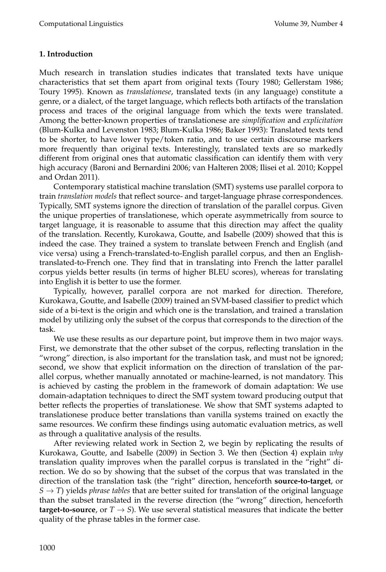# **1. Introduction**

Much research in translation studies indicates that translated texts have unique characteristics that set them apart from original texts (Toury 1980; Gellerstam 1986; Toury 1995). Known as *translationese*, translated texts (in any language) constitute a genre, or a dialect, of the target language, which reflects both artifacts of the translation process and traces of the original language from which the texts were translated. Among the better-known properties of translationese are *simplification* and *explicitation* (Blum-Kulka and Levenston 1983; Blum-Kulka 1986; Baker 1993): Translated texts tend to be shorter, to have lower type/token ratio, and to use certain discourse markers more frequently than original texts. Interestingly, translated texts are so markedly different from original ones that automatic classification can identify them with very high accuracy (Baroni and Bernardini 2006; van Halteren 2008; Ilisei et al. 2010; Koppel and Ordan 2011).

Contemporary statistical machine translation (SMT) systems use parallel corpora to train *translation models* that reflect source- and target-language phrase correspondences. Typically, SMT systems ignore the direction of translation of the parallel corpus. Given the unique properties of translationese, which operate asymmetrically from source to target language, it is reasonable to assume that this direction may affect the quality of the translation. Recently, Kurokawa, Goutte, and Isabelle (2009) showed that this is indeed the case. They trained a system to translate between French and English (and vice versa) using a French-translated-to-English parallel corpus, and then an Englishtranslated-to-French one. They find that in translating into French the latter parallel corpus yields better results (in terms of higher BLEU scores), whereas for translating into English it is better to use the former.

Typically, however, parallel corpora are not marked for direction. Therefore, Kurokawa, Goutte, and Isabelle (2009) trained an SVM-based classifier to predict which side of a bi-text is the origin and which one is the translation, and trained a translation model by utilizing only the subset of the corpus that corresponds to the direction of the task.

We use these results as our departure point, but improve them in two major ways. First, we demonstrate that the other subset of the corpus, reflecting translation in the "wrong" direction, is also important for the translation task, and must not be ignored; second, we show that explicit information on the direction of translation of the parallel corpus, whether manually annotated or machine-learned, is not mandatory. This is achieved by casting the problem in the framework of domain adaptation: We use domain-adaptation techniques to direct the SMT system toward producing output that better reflects the properties of translationese. We show that SMT systems adapted to translationese produce better translations than vanilla systems trained on exactly the same resources. We confirm these findings using automatic evaluation metrics, as well as through a qualitative analysis of the results.

After reviewing related work in Section 2, we begin by replicating the results of Kurokawa, Goutte, and Isabelle (2009) in Section 3. We then (Section 4) explain *why* translation quality improves when the parallel corpus is translated in the "right" direction. We do so by showing that the subset of the corpus that was translated in the direction of the translation task (the "right" direction, henceforth **source-to-target**, or  $S \rightarrow T$ ) yields *phrase tables* that are better suited for translation of the original language than the subset translated in the reverse direction (the "wrong" direction, henceforth **target-to-source**, or  $T \rightarrow S$ ). We use several statistical measures that indicate the better quality of the phrase tables in the former case.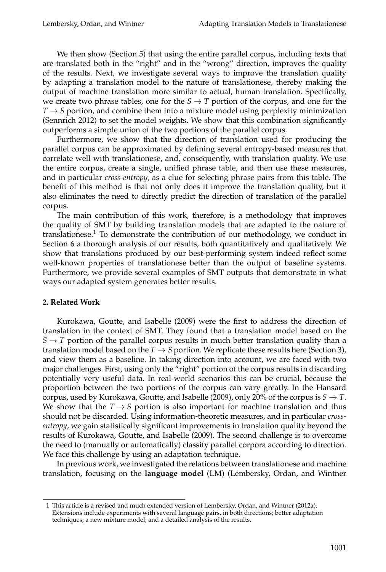We then show (Section 5) that using the entire parallel corpus, including texts that are translated both in the "right" and in the "wrong" direction, improves the quality of the results. Next, we investigate several ways to improve the translation quality by adapting a translation model to the nature of translationese, thereby making the output of machine translation more similar to actual, human translation. Specifically, we create two phrase tables, one for the  $S \rightarrow T$  portion of the corpus, and one for the  $T \rightarrow S$  portion, and combine them into a mixture model using perplexity minimization (Sennrich 2012) to set the model weights. We show that this combination significantly outperforms a simple union of the two portions of the parallel corpus.

Furthermore, we show that the direction of translation used for producing the parallel corpus can be approximated by defining several entropy-based measures that correlate well with translationese, and, consequently, with translation quality. We use the entire corpus, create a single, unified phrase table, and then use these measures, and in particular *cross-entropy*, as a clue for selecting phrase pairs from this table. The benefit of this method is that not only does it improve the translation quality, but it also eliminates the need to directly predict the direction of translation of the parallel corpus.

The main contribution of this work, therefore, is a methodology that improves the quality of SMT by building translation models that are adapted to the nature of  $translationese.<sup>1</sup>$  To demonstrate the contribution of our methodology, we conduct in Section 6 a thorough analysis of our results, both quantitatively and qualitatively. We show that translations produced by our best-performing system indeed reflect some well-known properties of translationese better than the output of baseline systems. Furthermore, we provide several examples of SMT outputs that demonstrate in what ways our adapted system generates better results.

#### **2. Related Work**

Kurokawa, Goutte, and Isabelle (2009) were the first to address the direction of translation in the context of SMT. They found that a translation model based on the  $S \rightarrow T$  portion of the parallel corpus results in much better translation quality than a translation model based on the  $T \rightarrow S$  portion. We replicate these results here (Section 3), and view them as a baseline. In taking direction into account, we are faced with two major challenges. First, using only the "right" portion of the corpus results in discarding potentially very useful data. In real-world scenarios this can be crucial, because the proportion between the two portions of the corpus can vary greatly. In the Hansard corpus, used by Kurokawa, Goutte, and Isabelle (2009), only 20% of the corpus is  $S \to T$ . We show that the  $T \rightarrow S$  portion is also important for machine translation and thus should not be discarded. Using information-theoretic measures, and in particular *crossentropy*, we gain statistically significant improvements in translation quality beyond the results of Kurokawa, Goutte, and Isabelle (2009). The second challenge is to overcome the need to (manually or automatically) classify parallel corpora according to direction. We face this challenge by using an adaptation technique.

In previous work, we investigated the relations between translationese and machine translation, focusing on the **language model** (LM) (Lembersky, Ordan, and Wintner

<sup>1</sup> This article is a revised and much extended version of Lembersky, Ordan, and Wintner (2012a). Extensions include experiments with several language pairs, in both directions; better adaptation techniques; a new mixture model; and a detailed analysis of the results.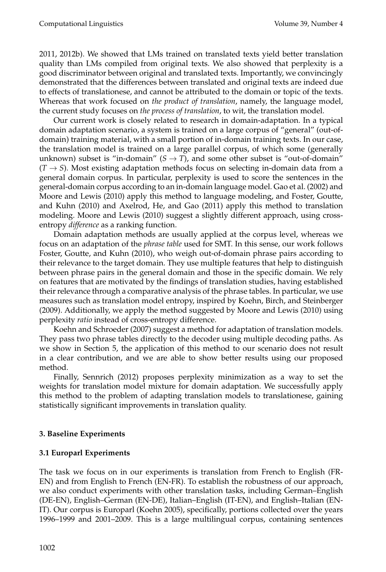2011, 2012b). We showed that LMs trained on translated texts yield better translation quality than LMs compiled from original texts. We also showed that perplexity is a good discriminator between original and translated texts. Importantly, we convincingly demonstrated that the differences between translated and original texts are indeed due to effects of translationese, and cannot be attributed to the domain or topic of the texts. Whereas that work focused on *the product of translation*, namely, the language model, the current study focuses on *the process of translation*, to wit, the translation model.

Our current work is closely related to research in domain-adaptation. In a typical domain adaptation scenario, a system is trained on a large corpus of "general" (out-ofdomain) training material, with a small portion of in-domain training texts. In our case, the translation model is trained on a large parallel corpus, of which some (generally unknown) subset is "in-domain"  $(S \rightarrow T)$ , and some other subset is "out-of-domain"  $(T \rightarrow S)$ . Most existing adaptation methods focus on selecting in-domain data from a general domain corpus. In particular, perplexity is used to score the sentences in the general-domain corpus according to an in-domain language model. Gao et al. (2002) and Moore and Lewis (2010) apply this method to language modeling, and Foster, Goutte, and Kuhn (2010) and Axelrod, He, and Gao (2011) apply this method to translation modeling. Moore and Lewis (2010) suggest a slightly different approach, using crossentropy *difference* as a ranking function.

Domain adaptation methods are usually applied at the corpus level, whereas we focus on an adaptation of the *phrase table* used for SMT. In this sense, our work follows Foster, Goutte, and Kuhn (2010), who weigh out-of-domain phrase pairs according to their relevance to the target domain. They use multiple features that help to distinguish between phrase pairs in the general domain and those in the specific domain. We rely on features that are motivated by the findings of translation studies, having established their relevance through a comparative analysis of the phrase tables. In particular, we use measures such as translation model entropy, inspired by Koehn, Birch, and Steinberger (2009). Additionally, we apply the method suggested by Moore and Lewis (2010) using perplexity *ratio* instead of cross-entropy difference.

Koehn and Schroeder (2007) suggest a method for adaptation of translation models. They pass two phrase tables directly to the decoder using multiple decoding paths. As we show in Section 5, the application of this method to our scenario does not result in a clear contribution, and we are able to show better results using our proposed method.

Finally, Sennrich (2012) proposes perplexity minimization as a way to set the weights for translation model mixture for domain adaptation. We successfully apply this method to the problem of adapting translation models to translationese, gaining statistically significant improvements in translation quality.

# **3. Baseline Experiments**

### **3.1 Europarl Experiments**

The task we focus on in our experiments is translation from French to English (FR-EN) and from English to French (EN-FR). To establish the robustness of our approach, we also conduct experiments with other translation tasks, including German–English (DE-EN), English–German (EN-DE), Italian–English (IT-EN), and English–Italian (EN-IT). Our corpus is Europarl (Koehn 2005), specifically, portions collected over the years 1996–1999 and 2001–2009. This is a large multilingual corpus, containing sentences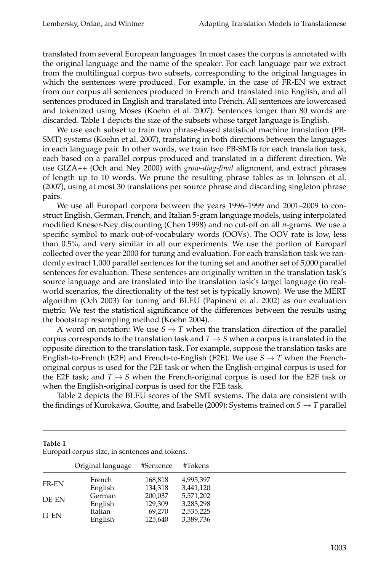translated from several European languages. In most cases the corpus is annotated with the original language and the name of the speaker. For each language pair we extract from the multilingual corpus two subsets, corresponding to the original languages in which the sentences were produced. For example, in the case of FR-EN we extract from our corpus all sentences produced in French and translated into English, and all sentences produced in English and translated into French. All sentences are lowercased and tokenized using Moses (Koehn et al. 2007). Sentences longer than 80 words are discarded. Table 1 depicts the size of the subsets whose target language is English.

We use each subset to train two phrase-based statistical machine translation (PB-SMT) systems (Koehn et al. 2007), translating in both directions between the languages in each language pair. In other words, we train two PB-SMTs for each translation task, each based on a parallel corpus produced and translated in a different direction. We use GIZA++ (Och and Ney 2000) with *grow-diag-final* alignment, and extract phrases of length up to 10 words. We prune the resulting phrase tables as in Johnson et al. (2007), using at most 30 translations per source phrase and discarding singleton phrase pairs.

We use all Europarl corpora between the years 1996–1999 and 2001–2009 to construct English, German, French, and Italian 5-gram language models, using interpolated modified Kneser-Ney discounting (Chen 1998) and no cut-off on all *n*-grams. We use a specific symbol to mark out-of-vocabulary words (OOVs). The OOV rate is low, less than 0.5%, and very similar in all our experiments. We use the portion of Europarl collected over the year 2000 for tuning and evaluation. For each translation task we randomly extract 1,000 parallel sentences for the tuning set and another set of 5,000 parallel sentences for evaluation. These sentences are originally written in the translation task's source language and are translated into the translation task's target language (in realworld scenarios, the directionality of the test set is typically known). We use the MERT algorithm (Och 2003) for tuning and BLEU (Papineni et al. 2002) as our evaluation metric. We test the statistical significance of the differences between the results using the bootstrap resampling method (Koehn 2004).

A word on notation: We use  $S \rightarrow T$  when the translation direction of the parallel corpus corresponds to the translation task and  $T \rightarrow S$  when a corpus is translated in the opposite direction to the translation task. For example, suppose the translation tasks are English-to-French (E2F) and French-to-English (F2E). We use  $S \to T$  when the Frenchoriginal corpus is used for the F2E task or when the English-original corpus is used for the E2F task; and  $T \rightarrow S$  when the French-original corpus is used for the E2F task or when the English-original corpus is used for the F2E task.

Table 2 depicts the BLEU scores of the SMT systems. The data are consistent with the findings of Kurokawa, Goutte, and Isabelle (2009): Systems trained on *S* → *T* parallel

| Table 1      | Europarl corpus size, in sentences and tokens. |           |           |  |
|--------------|------------------------------------------------|-----------|-----------|--|
|              | Original language                              | #Sentence | #Tokens   |  |
|              | French                                         | 168,818   | 4,995,397 |  |
| <b>FR-EN</b> | English                                        | 134,318   | 3,441,120 |  |
| DE-EN        | German                                         | 200,037   | 5,571,202 |  |
|              | English                                        | 129,309   | 3,283,298 |  |
| IT-EN        | Italian                                        | 69,270    | 2,535,225 |  |
|              | English                                        | 125,640   | 3,389,736 |  |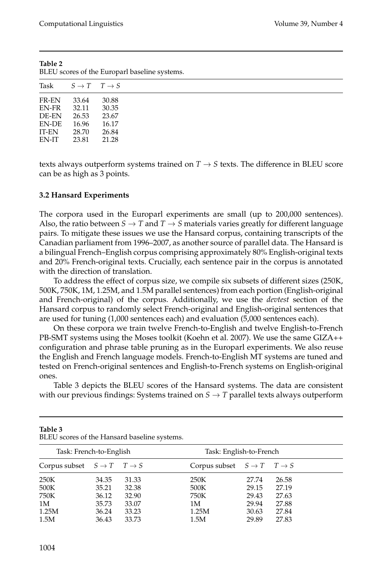| been scores of the Europan baseline systems. |                         |       |  |  |  |  |  |  |
|----------------------------------------------|-------------------------|-------|--|--|--|--|--|--|
| Task                                         | $S \to T \quad T \to S$ |       |  |  |  |  |  |  |
| FR-EN                                        | 33.64                   | 30.88 |  |  |  |  |  |  |
| EN-FR                                        | 32.11                   | 30.35 |  |  |  |  |  |  |
| DE-EN                                        | 26.53                   | 23.67 |  |  |  |  |  |  |
| EN-DE                                        | 16.96                   | 16.17 |  |  |  |  |  |  |
| IT-EN                                        | 28.70                   | 26.84 |  |  |  |  |  |  |
| EN-IT                                        | 23.81                   | 21.28 |  |  |  |  |  |  |
|                                              |                         |       |  |  |  |  |  |  |

**Table 2** BLEU scores of the Europarl baseline systems.

texts always outperform systems trained on  $T \rightarrow S$  texts. The difference in BLEU score can be as high as 3 points.

### **3.2 Hansard Experiments**

The corpora used in the Europarl experiments are small (up to 200,000 sentences). Also, the ratio between  $S \to T$  and  $T \to S$  materials varies greatly for different language pairs. To mitigate these issues we use the Hansard corpus, containing transcripts of the Canadian parliament from 1996–2007, as another source of parallel data. The Hansard is a bilingual French–English corpus comprising approximately 80% English-original texts and 20% French-original texts. Crucially, each sentence pair in the corpus is annotated with the direction of translation.

To address the effect of corpus size, we compile six subsets of different sizes (250K, 500K, 750K, 1M, 1.25M, and 1.5M parallel sentences) from each portion (English-original and French-original) of the corpus. Additionally, we use the *devtest* section of the Hansard corpus to randomly select French-original and English-original sentences that are used for tuning (1,000 sentences each) and evaluation (5,000 sentences each).

On these corpora we train twelve French-to-English and twelve English-to-French PB-SMT systems using the Moses toolkit (Koehn et al. 2007). We use the same GIZA++ configuration and phrase table pruning as in the Europarl experiments. We also reuse the English and French language models. French-to-English MT systems are tuned and tested on French-original sentences and English-to-French systems on English-original ones.

Table 3 depicts the BLEU scores of the Hansard systems. The data are consistent with our previous findings: Systems trained on  $S \rightarrow T$  parallel texts always outperform

| TADIE J<br>BLEU scores of the Hansard baseline systems. |       |       |                                   |                         |       |  |  |  |  |
|---------------------------------------------------------|-------|-------|-----------------------------------|-------------------------|-------|--|--|--|--|
| Task: French-to-English                                 |       |       |                                   | Task: English-to-French |       |  |  |  |  |
| Corpus subset $S \to T$ $T \to S$                       |       |       | Corpus subset $S \to T$ $T \to S$ |                         |       |  |  |  |  |
| 250K                                                    | 34.35 | 31.33 | 250K                              | 27.74                   | 26.58 |  |  |  |  |
| 500K                                                    | 35.21 | 32.38 | 500K                              | 29.15                   | 27.19 |  |  |  |  |
| 750K                                                    | 36.12 | 32.90 | 750K                              | 29.43                   | 27.63 |  |  |  |  |
| 1M                                                      | 35.73 | 33.07 | 1M                                | 29.94                   | 27.88 |  |  |  |  |
| 1.25M                                                   | 36.24 | 33.23 | 1.25M                             | 30.63                   | 27.84 |  |  |  |  |
| 1.5M                                                    | 36.43 | 33.73 | 1.5M                              | 29.89                   | 27.83 |  |  |  |  |

**Table 3**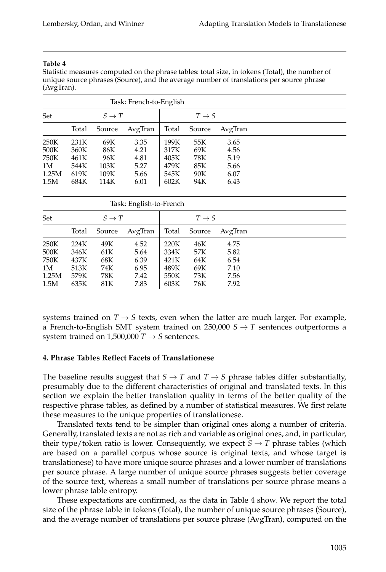| D |  |
|---|--|
|---|--|

Statistic measures computed on the phrase tables: total size, in tokens (Total), the number of unique source phrases (Source), and the average number of translations per source phrase (AvgTran).

|       |       |           | Task: French-to-English |       |                   |         |  |
|-------|-------|-----------|-------------------------|-------|-------------------|---------|--|
| Set   |       | $S \to T$ |                         |       | $T \rightarrow S$ |         |  |
|       | Total | Source    | AvgTran                 | Total | Source            | AvgTran |  |
| 250K  | 231K  | 69K       | 3.35                    | 199K  | 55K               | 3.65    |  |
| 500K  | 360K  | 86K       | 4.21                    | 317K  | 69K               | 4.56    |  |
| 750K  | 461K  | 96K       | 4.81                    | 405K  | 78K               | 5.19    |  |
| 1M    | 544K  | 103K      | 5.27                    | 479K  | 85K               | 5.66    |  |
| 1.25M | 619K  | 109K      | 5.66                    | 545K  | 90K               | 6.07    |  |
| 1.5M  | 684K  | 114K      | 6.01                    | 602K  | 94K               | 6.43    |  |
|       |       |           | Task: English-to-French |       |                   |         |  |
| Set   |       | $S \to T$ |                         |       | $T \rightarrow S$ |         |  |
|       | Total | Source    | AvgTran                 | Total | Source            | AvgTran |  |
| 250K  | 224K  | 49K       | 4.52                    | 220K  | 46K               | 4.75    |  |
| 500K  | 346K  | 61K       | 5.64                    | 334K  | 57K               | 5.82    |  |
| 750K  | 437K  | 68K       | 6.39                    | 421K  | 64K               | 6.54    |  |
| 1M    | 513K  | 74K       | 6.95                    | 489K  | 69K               | 7.10    |  |
| 1.25M | 579K  | 78K       | 7.42                    | 550K  | 73K               | 7.56    |  |
| 1.5M  | 635K  | 81K       | 7.83                    | 603K  | 76K               | 7.92    |  |

systems trained on  $T \rightarrow S$  texts, even when the latter are much larger. For example, a French-to-English SMT system trained on  $250,000 S \rightarrow T$  sentences outperforms a system trained on 1,500,000  $T \rightarrow S$  sentences.

#### **4. Phrase Tables Reflect Facets of Translationese**

The baseline results suggest that  $S \to T$  and  $T \to S$  phrase tables differ substantially, presumably due to the different characteristics of original and translated texts. In this section we explain the better translation quality in terms of the better quality of the respective phrase tables, as defined by a number of statistical measures. We first relate these measures to the unique properties of translationese.

Translated texts tend to be simpler than original ones along a number of criteria. Generally, translated texts are not as rich and variable as original ones, and, in particular, their type/token ratio is lower. Consequently, we expect  $S \rightarrow T$  phrase tables (which are based on a parallel corpus whose source is original texts, and whose target is translationese) to have more unique source phrases and a lower number of translations per source phrase. A large number of unique source phrases suggests better coverage of the source text, whereas a small number of translations per source phrase means a lower phrase table entropy.

These expectations are confirmed, as the data in Table 4 show. We report the total size of the phrase table in tokens (Total), the number of unique source phrases (Source), and the average number of translations per source phrase (AvgTran), computed on the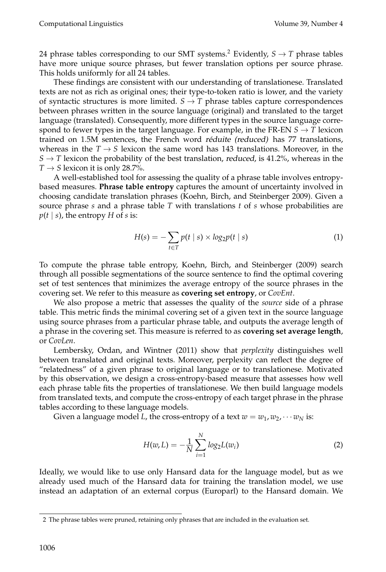24 phrase tables corresponding to our SMT systems.<sup>2</sup> Evidently,  $S \rightarrow T$  phrase tables have more unique source phrases, but fewer translation options per source phrase. This holds uniformly for all 24 tables.

These findings are consistent with our understanding of translationese. Translated texts are not as rich as original ones; their type-to-token ratio is lower, and the variety of syntactic structures is more limited.  $S \rightarrow T$  phrase tables capture correspondences between phrases written in the source language (original) and translated to the target language (translated). Consequently, more different types in the source language correspond to fewer types in the target language. For example, in the FR-EN  $S \rightarrow T$  lexicon trained on 1.5M sentences, the French word réduite (reduced) has 77 translations, whereas in the  $T \rightarrow S$  lexicon the same word has 143 translations. Moreover, in the  $S \rightarrow T$  lexicon the probability of the best translation, *reduced*, is 41.2%, whereas in the  $T \rightarrow S$  lexicon it is only 28.7%.

A well-established tool for assessing the quality of a phrase table involves entropybased measures. **Phrase table entropy** captures the amount of uncertainty involved in choosing candidate translation phrases (Koehn, Birch, and Steinberger 2009). Given a source phrase *s* and a phrase table *T* with translations *t* of *s* whose probabilities are  $p(t \mid s)$ , the entropy *H* of *s* is:

$$
H(s) = -\sum_{t \in T} p(t \mid s) \times log_2 p(t \mid s)
$$
 (1)

To compute the phrase table entropy, Koehn, Birch, and Steinberger (2009) search through all possible segmentations of the source sentence to find the optimal covering set of test sentences that minimizes the average entropy of the source phrases in the covering set. We refer to this measure as **covering set entropy**, or *CovEnt*.

We also propose a metric that assesses the quality of the *source* side of a phrase table. This metric finds the minimal covering set of a given text in the source language using source phrases from a particular phrase table, and outputs the average length of a phrase in the covering set. This measure is referred to as **covering set average length**, or *CovLen*.

Lembersky, Ordan, and Wintner (2011) show that *perplexity* distinguishes well between translated and original texts. Moreover, perplexity can reflect the degree of "relatedness" of a given phrase to original language or to translationese. Motivated by this observation, we design a cross-entropy-based measure that assesses how well each phrase table fits the properties of translationese. We then build language models from translated texts, and compute the cross-entropy of each target phrase in the phrase tables according to these language models.

Given a language model *L*, the cross-entropy of a text  $w = w_1, w_2, \cdots w_N$  is:

$$
H(w, L) = -\frac{1}{N} \sum_{i=1}^{N} log_2 L(w_i)
$$
 (2)

Ideally, we would like to use only Hansard data for the language model, but as we already used much of the Hansard data for training the translation model, we use instead an adaptation of an external corpus (Europarl) to the Hansard domain. We

<sup>2</sup> The phrase tables were pruned, retaining only phrases that are included in the evaluation set.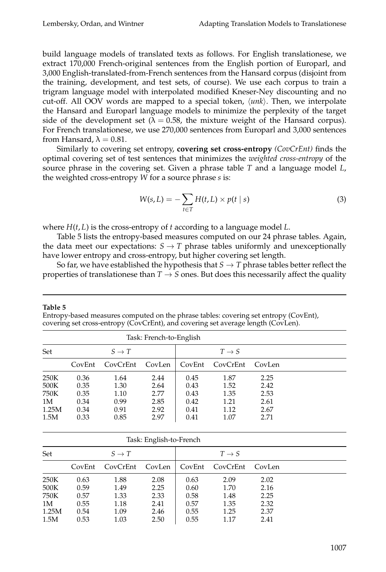build language models of translated texts as follows. For English translationese, we extract 170,000 French-original sentences from the English portion of Europarl, and 3,000 English-translated-from-French sentences from the Hansard corpus (disjoint from the training, development, and test sets, of course). We use each corpus to train a trigram language model with interpolated modified Kneser-Ney discounting and no cut-off. All OOV words are mapped to a special token,  $\langle$ *unk* $\rangle$ . Then, we interpolate the Hansard and Europarl language models to minimize the perplexity of the target side of the development set ( $\lambda = 0.58$ , the mixture weight of the Hansard corpus). For French translationese, we use 270,000 sentences from Europarl and 3,000 sentences from Hansard,  $\lambda = 0.81$ .

Similarly to covering set entropy, **covering set cross-entropy** *(CovCrEnt)* finds the optimal covering set of test sentences that minimizes the *weighted cross-entropy* of the source phrase in the covering set. Given a phrase table *T* and a language model *L*, the weighted cross-entropy *W* for a source phrase *s* is:

$$
W(s, L) = -\sum_{t \in T} H(t, L) \times p(t \mid s)
$$
\n(3)

where *H*(*t*, *L*) is the cross-entropy of *t* according to a language model *L*.

Table 5 lists the entropy-based measures computed on our 24 phrase tables. Again, the data meet our expectations:  $S \rightarrow T$  phrase tables uniformly and unexceptionally have lower entropy and cross-entropy, but higher covering set length.

So far, we have established the hypothesis that  $S \rightarrow T$  phrase tables better reflect the properties of translationese than  $T \rightarrow S$  ones. But does this necessarily affect the quality

#### **Table 5**

|                                                                                  | Entropy-based measures computed on the phrase tables: covering set entropy (CovEnt), |
|----------------------------------------------------------------------------------|--------------------------------------------------------------------------------------|
| covering set cross-entropy (CovCrEnt), and covering set average length (CovLen). |                                                                                      |

|                                             | Task: French-to-English                      |                                              |                                              |                                              |                                              |                                              |  |  |  |  |  |  |
|---------------------------------------------|----------------------------------------------|----------------------------------------------|----------------------------------------------|----------------------------------------------|----------------------------------------------|----------------------------------------------|--|--|--|--|--|--|
| Set                                         |                                              | $S \to T$                                    |                                              |                                              | $T \to S$                                    |                                              |  |  |  |  |  |  |
|                                             | CovEnt                                       | CovCrEnt                                     | CovLen                                       | CovEnt                                       | CovCrEnt                                     | CovLen                                       |  |  |  |  |  |  |
| 250K<br>500K<br>750K<br>1M<br>1.25M<br>1.5M | 0.36<br>0.35<br>0.35<br>0.34<br>0.34<br>0.33 | 1.64<br>1.30<br>1.10<br>0.99<br>0.91<br>0.85 | 2.44<br>2.64<br>2.77<br>2.85<br>2.92<br>2.97 | 0.45<br>0.43<br>0.43<br>0.42<br>0.41<br>0.41 | 1.87<br>1.52<br>1.35<br>1.21<br>1.12<br>1.07 | 2.25<br>2.42<br>2.53<br>2.61<br>2.67<br>2.71 |  |  |  |  |  |  |
|                                             |                                              |                                              | Task: English-to-French                      |                                              |                                              |                                              |  |  |  |  |  |  |
| Set                                         |                                              | $S \to T$                                    |                                              | $T \to S$                                    |                                              |                                              |  |  |  |  |  |  |
|                                             | CovEnt                                       | CovCrEnt                                     | CovLen                                       | CovEnt                                       | CovCrEnt                                     | CovLen                                       |  |  |  |  |  |  |
| 250K<br>500K<br>750K<br>1M                  | 0.63<br>0.59<br>0.57<br>0.55                 | 1.88<br>1.49<br>1.33<br>1.18                 | 2.08<br>2.25<br>2.33<br>2.41                 | 0.63<br>0.60<br>0.58<br>0.57                 | 2.09<br>1.70<br>1.48<br>1.35                 | 2.02<br>2.16<br>2.25<br>2.32                 |  |  |  |  |  |  |

1.25M 0.54 1.09 2.46 0.55 1.25 2.37 1.5M 0.53 1.03 2.50 0.55 1.17 2.41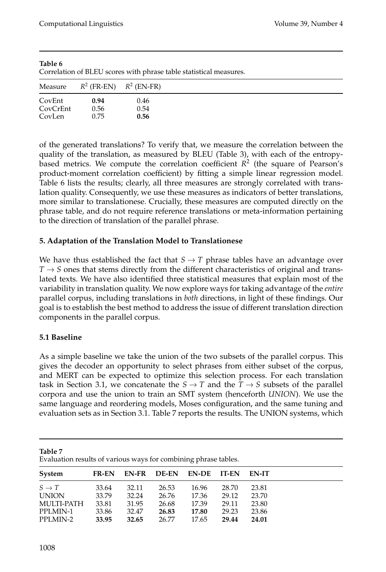| COLLEMNON OF DEED SCOLES WHITE PHERICE RIDGE SURFISHERH HIGRORICS. |                                     |      |  |  |  |  |  |
|--------------------------------------------------------------------|-------------------------------------|------|--|--|--|--|--|
|                                                                    | Measure $R^2$ (FR-EN) $R^2$ (EN-FR) |      |  |  |  |  |  |
| CovEnt                                                             | 0.94                                | 0.46 |  |  |  |  |  |
| CovCrEnt                                                           | 0.56                                | 0.54 |  |  |  |  |  |
| CovLen                                                             | 0.75                                | 0.56 |  |  |  |  |  |

#### **Table 6** Correlation of BLEU scores with phrase table statistical measures.

of the generated translations? To verify that, we measure the correlation between the quality of the translation, as measured by BLEU (Table 3), with each of the entropybased metrics. We compute the correlation coefficient  $R^2$  (the square of Pearson's product-moment correlation coefficient) by fitting a simple linear regression model. Table 6 lists the results; clearly, all three measures are strongly correlated with translation quality. Consequently, we use these measures as indicators of better translations, more similar to translationese. Crucially, these measures are computed directly on the phrase table, and do not require reference translations or meta-information pertaining to the direction of translation of the parallel phrase.

# **5. Adaptation of the Translation Model to Translationese**

We have thus established the fact that  $S \rightarrow T$  phrase tables have an advantage over  $T \rightarrow S$  ones that stems directly from the different characteristics of original and translated texts. We have also identified three statistical measures that explain most of the variability in translation quality. We now explore ways for taking advantage of the *entire* parallel corpus, including translations in *both* directions, in light of these findings. Our goal is to establish the best method to address the issue of different translation direction components in the parallel corpus.

# **5.1 Baseline**

As a simple baseline we take the union of the two subsets of the parallel corpus. This gives the decoder an opportunity to select phrases from either subset of the corpus, and MERT can be expected to optimize this selection process. For each translation task in Section 3.1, we concatenate the  $S \to T$  and the  $T \to S$  subsets of the parallel corpora and use the union to train an SMT system (henceforth *UNION*). We use the same language and reordering models, Moses configuration, and the same tuning and evaluation sets as in Section 3.1. Table 7 reports the results. The UNION systems, which

| Table 7<br>Evaluation results of various ways for combining phrase tables. |              |              |              |              |              |       |  |  |  |  |
|----------------------------------------------------------------------------|--------------|--------------|--------------|--------------|--------------|-------|--|--|--|--|
| System                                                                     | <b>FR-EN</b> | <b>EN-FR</b> | <b>DE-EN</b> | <b>EN-DE</b> | <b>IT-EN</b> | EN-IT |  |  |  |  |
| $S \to T$                                                                  | 33.64        | 32.11        | 26.53        | 16.96        | 28.70        | 23.81 |  |  |  |  |
| <b>UNION</b>                                                               | 33.79        | 32.24        | 26.76        | 17.36        | 29.12        | 23.70 |  |  |  |  |
| <b>MULTI-PATH</b>                                                          | 33.81        | 31.95        | 26.68        | 17.39        | 29.11        | 23.80 |  |  |  |  |
| PPLMIN-1                                                                   | 33.86        | 32.47        | 26.83        | 17.80        | 29.23        | 23.86 |  |  |  |  |

PPLMIN-1 33.86 32.47 **26.83 17.80** 29.23<br>PPLMIN-2 **33.95 32.65** 26.77 17.65 **29.44** PPLMIN-2 **33.95 32.65** 26.77 17.65 **29.44 24.01**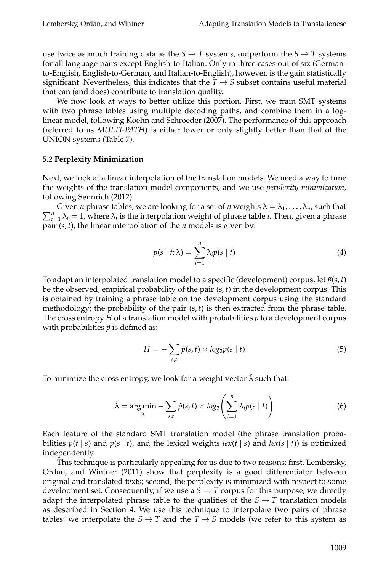use twice as much training data as the  $S \rightarrow T$  systems, outperform the  $S \rightarrow T$  systems for all language pairs except English-to-Italian. Only in three cases out of six (Germanto-English, English-to-German, and Italian-to-English), however, is the gain statistically significant. Nevertheless, this indicates that the  $T \rightarrow S$  subset contains useful material that can (and does) contribute to translation quality.

We now look at ways to better utilize this portion. First, we train SMT systems with two phrase tables using multiple decoding paths, and combine them in a loglinear model, following Koehn and Schroeder (2007). The performance of this approach (referred to as *MULTI-PATH*) is either lower or only slightly better than that of the UNION systems (Table 7).

### **5.2 Perplexity Minimization**

Next, we look at a linear interpolation of the translation models. We need a way to tune the weights of the translation model components, and we use *perplexity minimization*, following Sennrich (2012).

Given *n* phrase tables, we are looking for a set of *n* weights  $\lambda = \lambda_1, \dots, \lambda_n$ , such that  $\sum_{i=1}^{n} \lambda_i = 1$ , where  $\lambda_i$  is the internal stight of phrase table *i*. Then, given a phrase  $\sum_{i=1}^{n} \lambda_i = 1$ , where  $\lambda_i$  is the interpolation weight of phrase table *i*. Then, given a phrase pair (*s*, *t*), the linear interpolation of the *n* models is given by:

$$
p(s \mid t; \lambda) = \sum_{i=1}^{n} \lambda_i p(s \mid t)
$$
 (4)

To adapt an interpolated translation model to a specific (development) corpus, let  $\tilde{p}(s,t)$ be the observed, empirical probability of the pair (*s*, *t*) in the development corpus. This is obtained by training a phrase table on the development corpus using the standard methodology; the probability of the pair  $(s, t)$  is then extracted from the phrase table. The cross entropy *H* of a translation model with probabilities *p* to a development corpus with probabilities  $\tilde{p}$  is defined as:

$$
H = -\sum_{s,t} \tilde{p}(s,t) \times \log_2 p(s \mid t)
$$
\n(5)

To minimize the cross entropy, we look for a weight vector  $\lambda$  such that:

$$
\hat{\lambda} = \underset{\lambda}{\arg \min} -\sum_{s,t} \tilde{p}(s,t) \times \log_2\left(\sum_{i=1}^n \lambda_i p(s \mid t)\right) \tag{6}
$$

Each feature of the standard SMT translation model (the phrase translation probabilities  $p(t | s)$  and  $p(s | t)$ , and the lexical weights  $lex(t | s)$  and  $lex(s | t)$ ) is optimized independently.

This technique is particularly appealing for us due to two reasons: first, Lembersky, Ordan, and Wintner (2011) show that perplexity is a good differentiator between original and translated texts; second, the perplexity is minimized with respect to some development set. Consequently, if we use a  $S \to T$  corpus for this purpose, we directly adapt the interpolated phrase table to the qualities of the  $S \rightarrow T$  translation models as described in Section 4. We use this technique to interpolate two pairs of phrase tables: we interpolate the  $S \rightarrow T$  and the  $T \rightarrow S$  models (we refer to this system as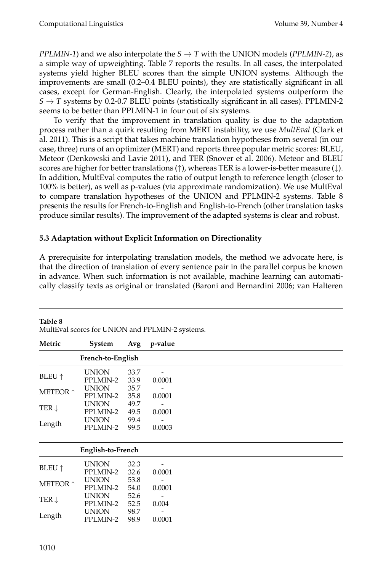*PPLMIN-1*) and we also interpolate the  $S \rightarrow T$  with the UNION models (*PPLMIN-2*), as a simple way of upweighting. Table 7 reports the results. In all cases, the interpolated systems yield higher BLEU scores than the simple UNION systems. Although the improvements are small (0.2–0.4 BLEU points), they are statistically significant in all cases, except for German-English. Clearly, the interpolated systems outperform the  $S \rightarrow T$  systems by 0.2-0.7 BLEU points (statistically significant in all cases). PPLMIN-2 seems to be better than PPLMIN-1 in four out of six systems.

To verify that the improvement in translation quality is due to the adaptation process rather than a quirk resulting from MERT instability, we use *MultEval* (Clark et al. 2011). This is a script that takes machine translation hypotheses from several (in our case, three) runs of an optimizer (MERT) and reports three popular metric scores: BLEU, Meteor (Denkowski and Lavie 2011), and TER (Snover et al. 2006). Meteor and BLEU scores are higher for better translations (↑), whereas TER is a lower-is-better measure (↓). In addition, MultEval computes the ratio of output length to reference length (closer to 100% is better), as well as p-values (via approximate randomization). We use MultEval to compare translation hypotheses of the UNION and PPLMIN-2 systems. Table 8 presents the results for French-to-English and English-to-French (other translation tasks produce similar results). The improvement of the adapted systems is clear and robust.

# **5.3 Adaptation without Explicit Information on Directionality**

A prerequisite for interpolating translation models, the method we advocate here, is that the direction of translation of every sentence pair in the parallel corpus be known in advance. When such information is not available, machine learning can automatically classify texts as original or translated (Baroni and Bernardini 2006; van Halteren

| Table 8                  | MultEval scores for UNION and PPLMIN-2 systems. |      |         |  |  |
|--------------------------|-------------------------------------------------|------|---------|--|--|
| Metric                   | System                                          | Avg  | p-value |  |  |
|                          | French-to-English                               |      |         |  |  |
|                          | <b>UNION</b>                                    | 33.7 |         |  |  |
| <b>BLEU</b> ↑            | PPLMIN-2                                        | 33.9 | 0.0001  |  |  |
| METEOR ↑                 | <b>UNION</b>                                    | 35.7 |         |  |  |
|                          | PPLMIN-2                                        | 35.8 | 0.0001  |  |  |
|                          | <b>UNION</b>                                    | 49.7 |         |  |  |
| TER $\downarrow$         | PPLMIN-2                                        | 49.5 | 0.0001  |  |  |
|                          | <b>UNION</b>                                    | 99.4 |         |  |  |
| Length                   | PPLMIN-2                                        | 99.5 | 0.0003  |  |  |
|                          | English-to-French                               |      |         |  |  |
|                          | <b>UNION</b>                                    | 32.3 |         |  |  |
| BLEU $\uparrow$          | PPLMIN-2                                        | 32.6 | 0.0001  |  |  |
|                          | <b>UNION</b>                                    | 53.8 |         |  |  |
| <b>METEOR</b> $\uparrow$ | PPLMIN-2                                        | 54.0 | 0.0001  |  |  |
|                          | <b>UNION</b>                                    | 52.6 |         |  |  |
| TER $\downarrow$         | PPLMIN-2                                        | 52.5 | 0.004   |  |  |
|                          | <b>UNION</b>                                    | 98.7 |         |  |  |
| Length                   | PPLMIN-2                                        | 98.9 | 0.0001  |  |  |

1010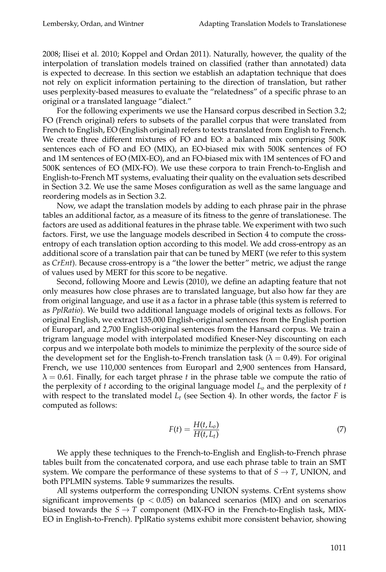2008; Ilisei et al. 2010; Koppel and Ordan 2011). Naturally, however, the quality of the interpolation of translation models trained on classified (rather than annotated) data is expected to decrease. In this section we establish an adaptation technique that does not rely on explicit information pertaining to the direction of translation, but rather uses perplexity-based measures to evaluate the "relatedness" of a specific phrase to an original or a translated language "dialect."

For the following experiments we use the Hansard corpus described in Section 3.2; FO (French original) refers to subsets of the parallel corpus that were translated from French to English, EO (English original) refers to texts translated from English to French. We create three different mixtures of FO and EO: a balanced mix comprising 500K sentences each of FO and EO (MIX), an EO-biased mix with 500K sentences of FO and 1M sentences of EO (MIX-EO), and an FO-biased mix with 1M sentences of FO and 500K sentences of EO (MIX-FO). We use these corpora to train French-to-English and English-to-French MT systems, evaluating their quality on the evaluation sets described in Section 3.2. We use the same Moses configuration as well as the same language and reordering models as in Section 3.2.

Now, we adapt the translation models by adding to each phrase pair in the phrase tables an additional factor, as a measure of its fitness to the genre of translationese. The factors are used as additional features in the phrase table. We experiment with two such factors. First, we use the language models described in Section 4 to compute the crossentropy of each translation option according to this model. We add cross-entropy as an additional score of a translation pair that can be tuned by MERT (we refer to this system as *CrEnt*). Because cross-entropy is a "the lower the better" metric, we adjust the range of values used by MERT for this score to be negative.

Second, following Moore and Lewis (2010), we define an adapting feature that not only measures how close phrases are to translated language, but also how far they are from original language, and use it as a factor in a phrase table (this system is referred to as *PplRatio*). We build two additional language models of original texts as follows. For original English, we extract 135,000 English-original sentences from the English portion of Europarl, and 2,700 English-original sentences from the Hansard corpus. We train a trigram language model with interpolated modified Kneser-Ney discounting on each corpus and we interpolate both models to minimize the perplexity of the source side of the development set for the English-to-French translation task ( $\lambda = 0.49$ ). For original French, we use 110,000 sentences from Europarl and 2,900 sentences from Hansard,  $\lambda = 0.61$ . Finally, for each target phrase *t* in the phrase table we compute the ratio of the perplexity of *t* according to the original language model *Lo* and the perplexity of *t* with respect to the translated model  $L_t$  (see Section 4). In other words, the factor  $F$  is computed as follows:

$$
F(t) = \frac{H(t, L_o)}{H(t, L_t)}
$$
\n(7)

We apply these techniques to the French-to-English and English-to-French phrase tables built from the concatenated corpora, and use each phrase table to train an SMT system. We compare the performance of these systems to that of  $S \rightarrow T$ , UNION, and both PPLMIN systems. Table 9 summarizes the results.

All systems outperform the corresponding UNION systems. CrEnt systems show significant improvements ( $p < 0.05$ ) on balanced scenarios (MIX) and on scenarios biased towards the  $S \rightarrow T$  component (MIX-FO in the French-to-English task, MIX-EO in English-to-French). PplRatio systems exhibit more consistent behavior, showing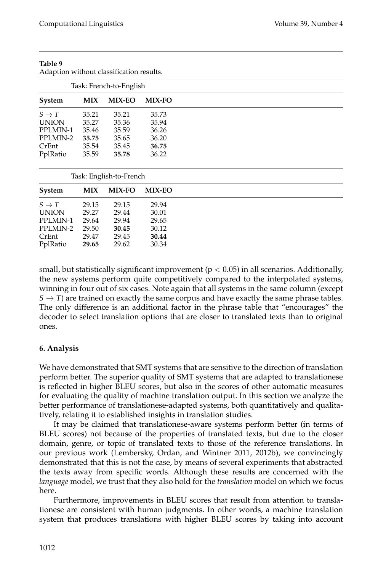|              | Task: French-to-English |                         |               |  |  |
|--------------|-------------------------|-------------------------|---------------|--|--|
| System       | <b>MIX</b>              | <b>MIX-EO</b>           | <b>MIX-FO</b> |  |  |
| $S \to T$    | 35.21                   | 35.21                   | 35.73         |  |  |
| <b>UNION</b> | 35.27                   | 35.36                   | 35.94         |  |  |
| PPLMIN-1     | 35.46                   | 35.59                   | 36.26         |  |  |
| PPLMIN-2     | 35.75                   | 35.65                   | 36.20         |  |  |
| CrEnt        | 35.54                   | 35.45                   | 36.75         |  |  |
| PplRatio     | 35.59                   | 35.78                   | 36.22         |  |  |
|              |                         |                         |               |  |  |
|              |                         | Task: English-to-French |               |  |  |
| System       | <b>MIX</b>              | <b>MIX-FO</b>           | <b>MIX-EO</b> |  |  |
| $S \to T$    | 29.15                   | 29.15                   | 29.94         |  |  |
| <b>UNION</b> | 29.27                   | 29.44                   | 30.01         |  |  |
| PPLMIN-1     | 29.64                   | 29.94                   | 29.65         |  |  |
| PPLMIN-2     | 29.50                   | 30.45                   | 30.12         |  |  |
| CrEnt        | 29.47                   | 29.45                   | 30.44         |  |  |
| PplRatio     | 29.65                   | 29.62                   | 30.34         |  |  |
|              |                         |                         |               |  |  |

#### **Table 9** Adaption without classification results.

small, but statistically significant improvement ( $p < 0.05$ ) in all scenarios. Additionally, the new systems perform quite competitively compared to the interpolated systems, winning in four out of six cases. Note again that all systems in the same column (except  $S \rightarrow T$ ) are trained on exactly the same corpus and have exactly the same phrase tables. The only difference is an additional factor in the phrase table that "encourages" the decoder to select translation options that are closer to translated texts than to original ones.

# **6. Analysis**

We have demonstrated that SMT systems that are sensitive to the direction of translation perform better. The superior quality of SMT systems that are adapted to translationese is reflected in higher BLEU scores, but also in the scores of other automatic measures for evaluating the quality of machine translation output. In this section we analyze the better performance of translationese-adapted systems, both quantitatively and qualitatively, relating it to established insights in translation studies.

It may be claimed that translationese-aware systems perform better (in terms of BLEU scores) not because of the properties of translated texts, but due to the closer domain, genre, or topic of translated texts to those of the reference translations. In our previous work (Lembersky, Ordan, and Wintner 2011, 2012b), we convincingly demonstrated that this is not the case, by means of several experiments that abstracted the texts away from specific words. Although these results are concerned with the *language* model, we trust that they also hold for the *translation* model on which we focus here.

Furthermore, improvements in BLEU scores that result from attention to translationese are consistent with human judgments. In other words, a machine translation system that produces translations with higher BLEU scores by taking into account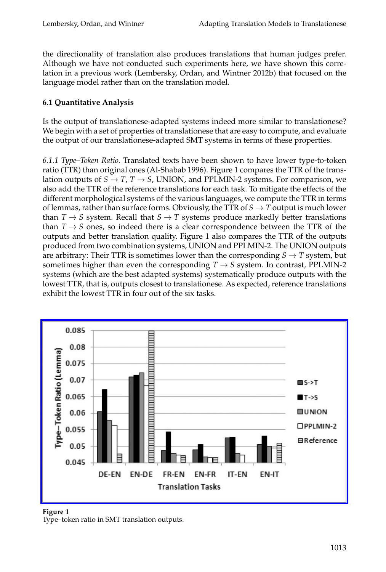the directionality of translation also produces translations that human judges prefer. Although we have not conducted such experiments here, we have shown this correlation in a previous work (Lembersky, Ordan, and Wintner 2012b) that focused on the language model rather than on the translation model.

# **6.1 Quantitative Analysis**

Is the output of translationese-adapted systems indeed more similar to translationese? We begin with a set of properties of translationese that are easy to compute, and evaluate the output of our translationese-adapted SMT systems in terms of these properties.

*6.1.1 Type–Token Ratio.* Translated texts have been shown to have lower type-to-token ratio (TTR) than original ones (Al-Shabab 1996). Figure 1 compares the TTR of the translation outputs of  $S \to T$ ,  $T \to S$ , UNION, and PPLMIN-2 systems. For comparison, we also add the TTR of the reference translations for each task. To mitigate the effects of the different morphological systems of the various languages, we compute the TTR in terms of lemmas, rather than surface forms. Obviously, the TTR of  $S \to T$  output is much lower than  $T \rightarrow S$  system. Recall that  $S \rightarrow T$  systems produce markedly better translations than  $T \rightarrow S$  ones, so indeed there is a clear correspondence between the TTR of the outputs and better translation quality. Figure 1 also compares the TTR of the outputs produced from two combination systems, UNION and PPLMIN-2. The UNION outputs are arbitrary: Their TTR is sometimes lower than the corresponding  $S \rightarrow T$  system, but sometimes higher than even the corresponding  $T \rightarrow S$  system. In contrast, PPLMIN-2 [systems \(which are the best adapted systems\) systematically produce outputs with the](http://www.mitpressjournals.org/action/showImage?doi=10.1162/COLI_a_00159&iName=master.img-000.jpg&w=382&h=227) lowest TTR, that is, outputs closest to translationese. As expected, reference translations exhibit the lowest TTR in four out of the six tasks.



**Figure 1** Type–token ratio in SMT translation outputs.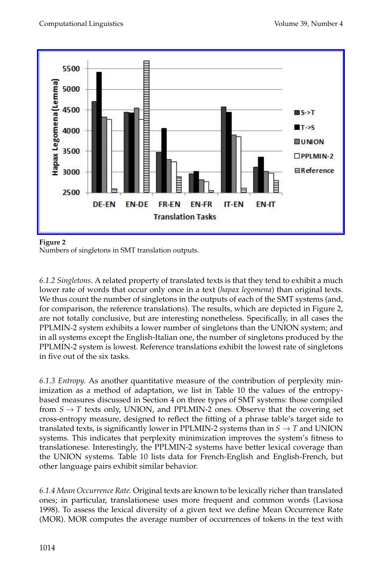### [Computational Linguistics Volume 39, Number 4](http://www.mitpressjournals.org/action/showImage?doi=10.1162/COLI_a_00159&iName=master.img-001.jpg&w=382&h=228)





*6.1.2 Singletons.* A related property of translated texts is that they tend to exhibit a much lower rate of words that occur only once in a text (*hapax legomena*) than original texts. We thus count the number of singletons in the outputs of each of the SMT systems (and, for comparison, the reference translations). The results, which are depicted in Figure 2, are not totally conclusive, but are interesting nonetheless. Specifically, in all cases the PPLMIN-2 system exhibits a lower number of singletons than the UNION system; and in all systems except the English-Italian one, the number of singletons produced by the PPLMIN-2 system is lowest. Reference translations exhibit the lowest rate of singletons in five out of the six tasks.

*6.1.3 Entropy.* As another quantitative measure of the contribution of perplexity minimization as a method of adaptation, we list in Table 10 the values of the entropybased measures discussed in Section 4 on three types of SMT systems: those compiled from  $S \to T$  texts only, UNION, and PPLMIN-2 ones. Observe that the covering set cross-entropy measure, designed to reflect the fitting of a phrase table's target side to translated texts, is significantly lower in PPLMIN-2 systems than in  $S \rightarrow T$  and UNION systems. This indicates that perplexity minimization improves the system's fitness to translationese. Interestingly, the PPLMIN-2 systems have better lexical coverage than the UNION systems. Table 10 lists data for French-English and English-French, but other language pairs exhibit similar behavior.

*6.1.4 Mean Occurrence Rate.* Original texts are known to be lexically richer than translated ones; in particular, translationese uses more frequent and common words (Laviosa 1998). To assess the lexical diversity of a given text we define Mean Occurrence Rate (MOR). MOR computes the average number of occurrences of tokens in the text with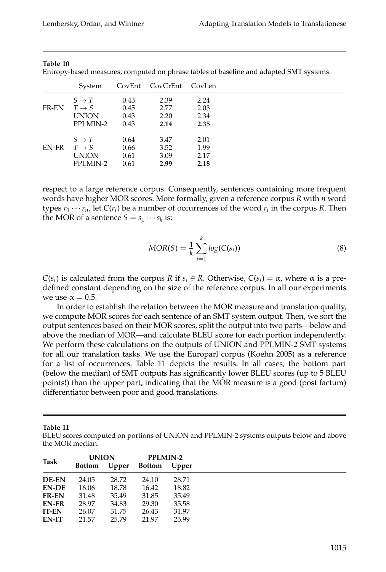|              | System                                             |                              | CovEnt CovCrEnt CovLen       |                              |  |
|--------------|----------------------------------------------------|------------------------------|------------------------------|------------------------------|--|
| <b>FR-EN</b> | $S \to T$<br>$T \to S$<br><b>UNION</b><br>PPLMIN-2 | 0.43<br>0.45<br>0.43<br>0.43 | 2.39<br>2.77<br>2.20<br>2.14 | 2.24<br>2.03<br>2.34<br>2.35 |  |
| EN-FR        | $S \to T$<br>$T \to S$<br><b>UNION</b><br>PPLMIN-2 | 0.64<br>0.66<br>0.61<br>0.61 | 3.47<br>3.52<br>3.09<br>2.99 | 2.01<br>1.99<br>2.17<br>2.18 |  |

**Table 10**

Entropy-based measures, computed on phrase tables of baseline and adapted SMT systems.

respect to a large reference corpus. Consequently, sentences containing more frequent words have higher MOR scores. More formally, given a reference corpus *R* with *n* word types  $r_1 \cdots r_n$ , let  $C(r_i)$  be a number of occurrences of the word  $r_i$  in the corpus *R*. Then the MOR of a sentence  $S = s_1 \cdots s_k$  is:

$$
MOR(S) = \frac{1}{k} \sum_{i=1}^{k} log(C(s_i))
$$
\n(8)

*C*(*s<sub>i</sub>*) is calculated from the corpus *R* if  $s_i \in R$ . Otherwise,  $C(s_i) = \alpha$ , where  $\alpha$  is a predefined constant depending on the size of the reference corpus. In all our experiments we use  $\alpha = 0.5$ .

In order to establish the relation between the MOR measure and translation quality, we compute MOR scores for each sentence of an SMT system output. Then, we sort the output sentences based on their MOR scores, split the output into two parts—below and above the median of MOR—and calculate BLEU score for each portion independently. We perform these calculations on the outputs of UNION and PPLMIN-2 SMT systems for all our translation tasks. We use the Europarl corpus (Koehn 2005) as a reference for a list of occurrences. Table 11 depicts the results. In all cases, the bottom part (below the median) of SMT outputs has significantly lower BLEU scores (up to 5 BLEU points!) than the upper part, indicating that the MOR measure is a good (post factum) differentiator between poor and good translations.

**Table 11**

BLEU scores computed on portions of UNION and PPLMIN-2 systems outputs below and above the MOR median.

| Task         | <b>UNION</b>  |       | <b>PPLMIN-2</b> |       |
|--------------|---------------|-------|-----------------|-------|
|              | <b>Bottom</b> | Upper | Bottom Upper    |       |
| <b>DE-EN</b> | 24.05         | 28.72 | 24.10           | 28.71 |
| <b>EN-DE</b> | 16.06         | 18.78 | 16.42           | 18.82 |
| <b>FR-EN</b> | 31.48         | 35.49 | 31.85           | 35.49 |
| <b>EN-FR</b> | 28.97         | 34.83 | 29.30           | 35.58 |
| <b>IT-EN</b> | 26.07         | 31.75 | 26.43           | 31.97 |
| EN-IT        | 21.57         | 25.79 | 21.97           | 25.99 |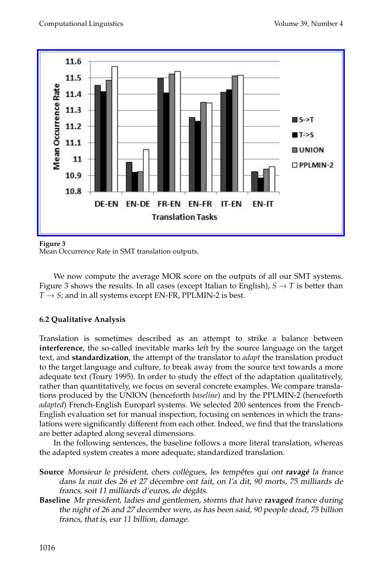#### [Computational Linguistics Volume 39, Number 4](http://www.mitpressjournals.org/action/showImage?doi=10.1162/COLI_a_00159&iName=master.img-002.jpg&w=382&h=230)



#### **Figure 3**

Mean Occurrence Rate in SMT translation outputs.

We now compute the average MOR score on the outputs of all our SMT systems. Figure 3 shows the results. In all cases (except Italian to English),  $S \rightarrow T$  is better than  $T \rightarrow S$ ; and in all systems except EN-FR, PPLMIN-2 is best.

### **6.2 Qualitative Analysis**

Translation is sometimes described as an attempt to strike a balance between **interference**, the so-called inevitable marks left by the source language on the target text, and **standardization**, the attempt of the translator to *adapt* the translation product to the target language and culture, to break away from the source text towards a more adequate text (Toury 1995). In order to study the effect of the adaptation qualitatively, rather than quantitatively, we focus on several concrete examples. We compare translations produced by the UNION (henceforth *baseline*) and by the PPLMIN-2 (henceforth *adapted*) French-English Europarl systems. We selected 200 sentences from the French-English evaluation set for manual inspection, focusing on sentences in which the translations were significantly different from each other. Indeed, we find that the translations are better adapted along several dimensions.

In the following sentences, the baseline follows a more literal translation, whereas the adapted system creates a more adequate, standardized translation.

- **Source** Monsieur le président, chers collègues, les tempêtes qui ont **ravagé** la france dans la nuit des 26 et 27 decembre ont fait, on l'a dit, 90 morts, 75 milliards de ´ francs, soit 11 milliards d'euros, de dégâts.
- **Baseline** Mr president, ladies and gentlemen, storms that have **ravaged** france during the night of 26 and <sup>27</sup> december were, as has been said, 90 people dead, 75 billion francs, that is, eur <sup>11</sup> billion, damage.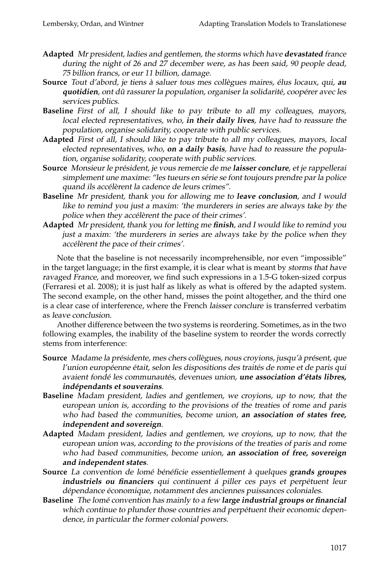- **Adapted** Mr president, ladies and gentlemen, the storms which have **devastated** france during the night of 26 and <sup>27</sup> december were, as has been said, 90 people dead, 75 billion francs, or eur <sup>11</sup> billion, damage.
- Source Tout d'abord, je tiens à saluer tous mes collègues maires, élus locaux, qui, au quotidien, ont dû rassurer la population, organiser la solidarité, coopérer avec les services publics.
- **Baseline** First of all, <sup>I</sup> should like to pay tribute to all my colleagues, mayors, local elected representatives, who, **in their daily lives**, have had to reassure the population, organise solidarity, cooperate with public services.
- **Adapted** First of all, <sup>I</sup> should like to pay tribute to all my colleagues, mayors, local elected representatives, who, **on <sup>a</sup> daily basis**, have had to reassure the population, organise solidarity, cooperate with public services.
- **Source** Monsieur le président, je vous remercie de me laisser conclure, et je rappellerai simplement une maxime: "les tueurs en serie se font toujours prendre par la police ´ quand ils accélèrent la cadence de leurs crimes".
- **Baseline** Mr president, thank you for allowing me to **leave conclusion**, and <sup>I</sup> would like to remind you just <sup>a</sup> maxim: 'the murderers in series are always take by the police when they accélèrent the pace of their crimes'.
- **Adapted** Mr president, thank you for letting me **finish**, and <sup>I</sup> would like to remind you just <sup>a</sup> maxim: 'the murderers in series are always take by the police when they accélèrent the pace of their crimes'.

Note that the baseline is not necessarily incomprehensible, nor even "impossible" in the target language; in the first example, it is clear what is meant by storms that have ravaged France, and moreover, we find such expressions in a 1.5-G token-sized corpus (Ferraresi et al. 2008); it is just half as likely as what is offered by the adapted system. The second example, on the other hand, misses the point altogether, and the third one is a clear case of interference, where the French laisser conclure is transferred verbatim as leave conclusion.

Another difference between the two systems is reordering. Sometimes, as in the two following examples, the inability of the baseline system to reorder the words correctly stems from interference:

- **Source** Madame la présidente, mes chers collègues, nous croyions, jusqu'à présent, que l'union européenne était, selon les dispositions des traités de rome et de paris qui  $a$ vaient fondé les communautés, devenues union, une association d'états libres, **ind´ependants et souverains**.
- **Baseline** Madam president, ladies and gentlemen, we croyions, up to now, that the european union is, according to the provisions of the treaties of rome and paris who had based the communities, become union, **an association of states free, independent and sovereign**.
- **Adapted** Madam president, ladies and gentlemen, we croyions, up to now, that the european union was, according to the provisions of the treaties of paris and rome who had based communities, become union, **an association of free, sovereign and independent states**.
- **Source** La convention de lomé bénéficie essentiellement à quelques **grands groupes industriels** ou financiers qui continuent á piller ces pays et perpétuent leur dépendance économique, notamment des anciennes puissances coloniales.
- **Baseline** The lome convention has mainly to <sup>a</sup> few ´ **large industrial groups or financial** which continue to plunder those countries and perpétuent their economic dependence, in particular the former colonial powers.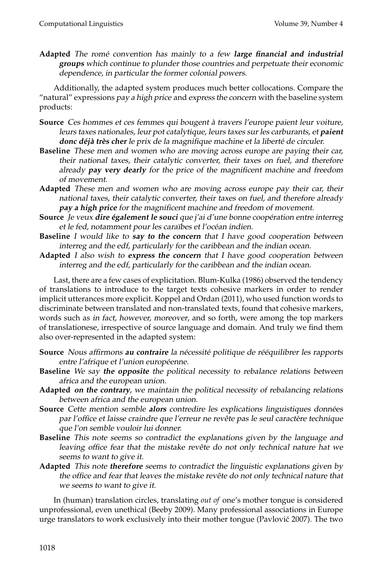**Adapted** The rome convention has mainly to <sup>a</sup> few ´ **large financial and industrial groups** which continue to plunder those countries and perpetuate their economic dependence, in particular the former colonial powers.

Additionally, the adapted system produces much better collocations. Compare the "natural" expressions pay a high price and express the concern with the baseline system products:

- Source Ces hommes et ces femmes qui bougent à travers l'europe paient leur voiture, leurs taxes nationales, leur pot catalytique, leurs taxes sur les carburants, et **paient donc déjà très cher** le prix de la magnifique machine et la liberté de circuler.
- **Baseline** These men and women who are moving across europe are paying their car, their national taxes, their catalytic converter, their taxes on fuel, and therefore already **pay very dearly** for the price of the magnificent machine and freedom of movement.
- **Adapted** These men and women who are moving across europe pay their car, their national taxes, their catalytic converter, their taxes on fuel, and therefore already **pay <sup>a</sup> high price** for the magnificent machine and freedom of movement.
- **Source** Je veux **dire ´egalement le souci** que j'ai d'une bonne cooperation entre interreg ´ et le fed, notamment pour les caraïbes et l'océan indien.
- **Baseline** <sup>I</sup> would like to **say to the concern** that <sup>I</sup> have good cooperation between interreg and the edf, particularly for the caribbean and the indian ocean.
- **Adapted** <sup>I</sup> also wish to **express the concern** that <sup>I</sup> have good cooperation between interreg and the edf, particularly for the caribbean and the indian ocean.

Last, there are a few cases of explicitation. Blum-Kulka (1986) observed the tendency of translations to introduce to the target texts cohesive markers in order to render implicit utterances more explicit. Koppel and Ordan (2011), who used function words to discriminate between translated and non-translated texts, found that cohesive markers, words such as in fact, however, moreover, and so forth, were among the top markers of translationese, irrespective of source language and domain. And truly we find them also over-represented in the adapted system:

- **Source** Nous affirmons *au* contraire la nécessité politique de rééquilibrer les rapports entre l'afrique et l'union européenne.
- **Baseline** We say **the opposite** the political necessity to rebalance relations between africa and the european union.
- **Adapted on the contrary**, we maintain the political necessity of rebalancing relations between africa and the european union.
- Source Cette mention semble alors contredire les explications linguistiques données par l'office et laisse craindre que l'erreur ne revête pas le seul caractère technique que l'on semble vouloir lui donner.
- **Baseline** This note seems so contradict the explanations given by the language and leaving office fear that the mistake revête do not only technical nature hat we seems to want to give it.
- **Adapted** This note **therefore** seems to contradict the linguistic explanations given by the office and fear that leaves the mistake revête do not only technical nature that we seems to want to give it.

In (human) translation circles, translating *out of* one's mother tongue is considered unprofessional, even unethical (Beeby 2009). Many professional associations in Europe urge translators to work exclusively into their mother tongue (Pavlovic 2007). The two ´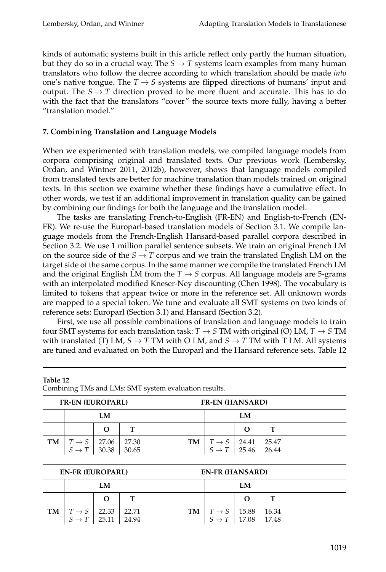kinds of automatic systems built in this article reflect only partly the human situation, but they do so in a crucial way. The  $S \rightarrow T$  systems learn examples from many human translators who follow the decree according to which translation should be made *into* one's native tongue. The  $T \rightarrow S$  systems are flipped directions of humans' input and output. The  $S \rightarrow T$  direction proved to be more fluent and accurate. This has to do with the fact that the translators "cover" the source texts more fully, having a better "translation model."

### **7. Combining Translation and Language Models**

When we experimented with translation models, we compiled language models from corpora comprising original and translated texts. Our previous work (Lembersky, Ordan, and Wintner 2011, 2012b), however, shows that language models compiled from translated texts are better for machine translation than models trained on original texts. In this section we examine whether these findings have a cumulative effect. In other words, we test if an additional improvement in translation quality can be gained by combining our findings for both the language and the translation model.

The tasks are translating French-to-English (FR-EN) and English-to-French (EN-FR). We re-use the Europarl-based translation models of Section 3.1. We compile language models from the French-English Hansard-based parallel corpora described in Section 3.2. We use 1 million parallel sentence subsets. We train an original French LM on the source side of the  $S \to T$  corpus and we train the translated English LM on the target side of the same corpus. In the same manner we compile the translated French LM and the original English LM from the  $T \rightarrow S$  corpus. All language models are 5-grams with an interpolated modified Kneser-Ney discounting (Chen 1998). The vocabulary is limited to tokens that appear twice or more in the reference set. All unknown words are mapped to a special token. We tune and evaluate all SMT systems on two kinds of reference sets: Europarl (Section 3.1) and Hansard (Section 3.2).

First, we use all possible combinations of translation and language models to train four SMT systems for each translation task:  $T \rightarrow S$  TM with original (O) LM,  $T \rightarrow S$  TM with translated (T) LM,  $S \to T$  TM with O LM, and  $S \to T$  TM with T LM. All systems are tuned and evaluated on both the Europarl and the Hansard reference sets. Table 12

| Combining TMs and LMs: SMT system evaluation results. |                                                                                                                                     |   |  |  |                                                                                                                                 |   |  |  |  |  |
|-------------------------------------------------------|-------------------------------------------------------------------------------------------------------------------------------------|---|--|--|---------------------------------------------------------------------------------------------------------------------------------|---|--|--|--|--|
| <b>FR-EN (EUROPARL)</b>                               |                                                                                                                                     |   |  |  | <b>FR-EN (HANSARD)</b>                                                                                                          |   |  |  |  |  |
|                                                       | LM                                                                                                                                  |   |  |  | LM                                                                                                                              |   |  |  |  |  |
|                                                       |                                                                                                                                     | Ω |  |  |                                                                                                                                 | О |  |  |  |  |
|                                                       | $\begin{array}{c c c c c c c} \n\textbf{TM} & T \rightarrow S & 27.06 & 27.30 \\ \nS \rightarrow T & 30.38 & 30.65 & \n\end{array}$ |   |  |  | $\begin{array}{c c c c c c} \n\textbf{TM} & T \rightarrow S & 24.41 & 25.47 \\ \nS \rightarrow T & 25.46 & 26.44 \n\end{array}$ |   |  |  |  |  |

| Table 12                                              |  |  |  |
|-------------------------------------------------------|--|--|--|
| Combining TMs and LMs: SMT system evaluation results. |  |  |  |

| <b>EN-FR (EUROPARL)</b> |                                          |       |                |    | <b>EN-FR (HANSARD)</b>         |                |                |  |  |
|-------------------------|------------------------------------------|-------|----------------|----|--------------------------------|----------------|----------------|--|--|
|                         | LM                                       |       |                |    |                                | LM             |                |  |  |
|                         |                                          | O     |                |    |                                | O              | т              |  |  |
| TM                      | $T \rightarrow S$   22.33  <br>$S \to T$ | 25.11 | 22.71<br>24.94 | TM | $T \rightarrow S$<br>$S \to T$ | 15.88<br>17.08 | 16.34<br>17.48 |  |  |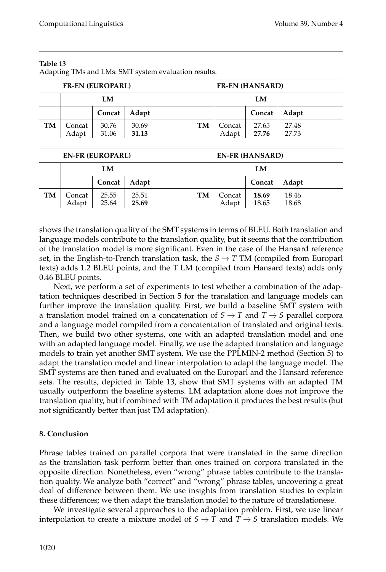### **Table 13**

Adapting TMs and LMs: SMT system evaluation results.

|                         |        | <b>FR-EN (EUROPARL)</b> |       | <b>FR-EN (HANSARD)</b> |        |                        |       |  |  |
|-------------------------|--------|-------------------------|-------|------------------------|--------|------------------------|-------|--|--|
|                         |        | LM                      |       | LM                     |        |                        |       |  |  |
|                         |        | Concat                  | Adapt |                        |        | Concat                 | Adapt |  |  |
| <b>TM</b>               | Concat | 30.76                   | 30.69 | <b>TM</b>              | Concat | 27.65                  | 27.48 |  |  |
|                         | Adapt  | 31.06                   | 31.13 |                        | Adapt  | 27.76                  | 27.73 |  |  |
|                         |        |                         |       |                        |        |                        |       |  |  |
| <b>EN-FR (EUROPARL)</b> |        |                         |       |                        |        | <b>EN-FR (HANSARD)</b> |       |  |  |
| LM                      |        |                         |       |                        | LM     |                        |       |  |  |

**Concat Adapt Concat Adapt**

**TM** | Concat | 25.55 | 25.51 **TM** | Concat | **18.69** | 18.46 Adapt | 25.64 | **25.69** | Adapt | 18.65 | 18.68

shows the translation quality of the SMT systems in terms of BLEU. Both translation and language models contribute to the translation quality, but it seems that the contribution of the translation model is more significant. Even in the case of the Hansard reference set, in the English-to-French translation task, the  $S \rightarrow T$  TM (compiled from Europarl texts) adds 1.2 BLEU points, and the T LM (compiled from Hansard texts) adds only 0.46 BLEU points.

Next, we perform a set of experiments to test whether a combination of the adaptation techniques described in Section 5 for the translation and language models can further improve the translation quality. First, we build a baseline SMT system with a translation model trained on a concatenation of  $S \to T$  and  $T \to S$  parallel corpora and a language model compiled from a concatentation of translated and original texts. Then, we build two other systems, one with an adapted translation model and one with an adapted language model. Finally, we use the adapted translation and language models to train yet another SMT system. We use the PPLMIN-2 method (Section 5) to adapt the translation model and linear interpolation to adapt the language model. The SMT systems are then tuned and evaluated on the Europarl and the Hansard reference sets. The results, depicted in Table 13, show that SMT systems with an adapted TM usually outperform the baseline systems. LM adaptation alone does not improve the translation quality, but if combined with TM adaptation it produces the best results (but not significantly better than just TM adaptation).

# **8. Conclusion**

Phrase tables trained on parallel corpora that were translated in the same direction as the translation task perform better than ones trained on corpora translated in the opposite direction. Nonetheless, even "wrong" phrase tables contribute to the translation quality. We analyze both "correct" and "wrong" phrase tables, uncovering a great deal of difference between them. We use insights from translation studies to explain these differences; we then adapt the translation model to the nature of translationese.

We investigate several approaches to the adaptation problem. First, we use linear interpolation to create a mixture model of  $S \to T$  and  $T \to S$  translation models. We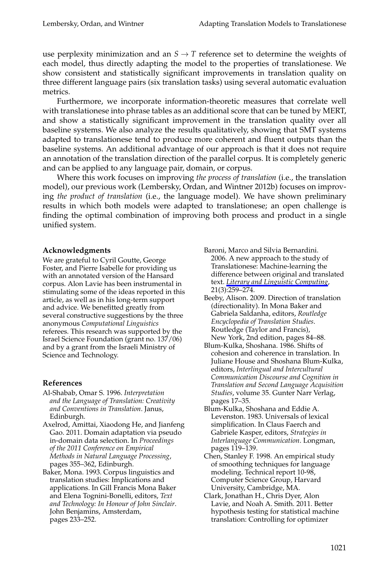use perplexity minimization and an  $S \rightarrow T$  reference set to determine the weights of each model, thus directly adapting the model to the properties of translationese. We show consistent and statistically significant improvements in translation quality on three different language pairs (six translation tasks) using several automatic evaluation metrics.

Furthermore, we incorporate information-theoretic measures that correlate well with translationese into phrase tables as an additional score that can be tuned by MERT, and show a statistically significant improvement in the translation quality over all baseline systems. We also analyze the results qualitatively, showing that SMT systems adapted to translationese tend to produce more coherent and fluent outputs than the baseline systems. An additional advantage of our approach is that it does not require an annotation of the translation direction of the parallel corpus. It is completely generic and can be applied to any language pair, domain, or corpus.

Where this work focuses on improving *the process of translation* (i.e., the translation model), our previous work (Lembersky, Ordan, and Wintner 2012b) focuses on improving *the product of translation* (i.e., the language model). We have shown preliminary results in which both models were adapted to translationese; an open challenge is finding the optimal combination of improving both process and product in a single unified system.

#### **Acknowledgments**

We are grateful to Cyril Goutte, George Foster, and Pierre Isabelle for providing us with an annotated version of the Hansard corpus. Alon Lavie has been instrumental in stimulating some of the ideas reported in this article, as well as in his long-term support and advice. We benefitted greatly from several constructive suggestions by the three anonymous *Computational Linguistics* referees. This research was supported by the Israel Science Foundation (grant no. 137/06) and by a grant from the Israeli Ministry of Science and Technology.

#### **References**

Al-Shabab, Omar S. 1996. *Interpretation and the Language of Translation: Creativity and Conventions in Translation*. Janus, Edinburgh.

Axelrod, Amittai, Xiaodong He, and Jianfeng Gao. 2011. Domain adaptation via pseudo in-domain data selection. In *Proceedings of the 2011 Conference on Empirical Methods in Natural Language Processing*, pages 355–362, Edinburgh.

Baker, Mona. 1993. Corpus linguistics and translation studies: Implications and applications. In Gill Francis Mona Baker and Elena Tognini-Bonelli, editors, *Text and Technology: In Honour of John Sinclair*. John Benjamins, Amsterdam, pages 233–252.

Baroni, Marco and Silvia Bernardini. 2006. A new approach to the study of Translationese: Machine-learning the difference between original and translated text. *Literary and Linguistic Computing*, 21(3):259–274.

- Beeby, Alison. 2009. Direction of translation (directionality). In Mona Baker and Gabriela Saldanha, editors, *Routledge Encyclopedia of Translation Studies*. Routledge (Taylor and Francis), New York, 2nd edition, pages 84–88.
- Blum-Kulka, Shoshana. 1986. Shifts of cohesion and coherence in translation. In Juliane House and Shoshana Blum-Kulka, editors, *Interlingual and Intercultural Communication Discourse and Cognition in Translation and Second Language Acquisition Studies*, volume 35. Gunter Narr Verlag, pages 17–35.
- Blum-Kulka, Shoshana and Eddie A. Levenston. 1983. Universals of lexical simplification. In Claus Faerch and Gabriele Kasper, editors, *Strategies in Interlanguage Communication*. Longman, pages 119–139.
- Chen, Stanley F. 1998. An empirical study of smoothing techniques for language modeling. Technical report 10-98, Computer Science Group, Harvard University, Cambridge, MA.
- Clark, Jonathan H., Chris Dyer, Alon Lavie, and Noah A. Smith. 2011. Better hypothesis testing for statistical machine translation: Controlling for optimizer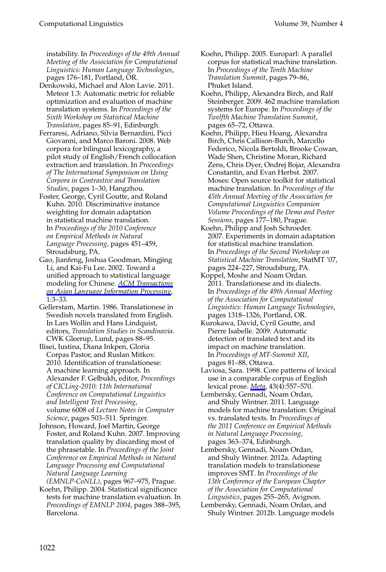#### Computational Linguistics Volume 39, Number 4

instability. In *Proceedings of the 49th Annual Meeting of the Association for Computational Linguistics: Human Language Technologies*, pages 176–181, Portland, OR.

- Denkowski, Michael and Alon Lavie. 2011. Meteor 1.3: Automatic metric for reliable optimization and evaluation of machine translation systems. In *Proceedings of the Sixth Workshop on Statistical Machine Translation*, pages 85–91, Edinburgh.
- Ferraresi, Adriano, Silvia Bernardini, Picci Giovanni, and Marco Baroni. 2008. Web corpora for bilingual lexicography, a pilot study of English/French collocation extraction and translation. In *Proceedings of The International Symposium on Using Corpora in Contrastive and Translation Studies*, pages 1–30, Hangzhou.
- Foster, George, Cyril Goutte, and Roland Kuhn. 2010. Discriminative instance weighting for domain adaptation in statistical machine translation. In *Proceedings of the 2010 Conference on Empirical Methods in Natural Language Processing*, pages 451–459, Stroudsburg, PA.
- Gao, Jianfeng, Joshua Goodman, Mingjing Li, and Kai-Fu Lee. 2002. Toward a unified approach to statistical language modeling for Chinese. *ACM Transactions on Asian Language Information Processing*, 1:3–33.
- Gellerstam, Martin. 1986. Translationese in Swedish novels translated from English. In Lars Wollin and Hans Lindquist, editors, *Translation Studies in Scandinavia*. CWK Gleerup, Lund, pages 88–95.

Ilisei, Iustina, Diana Inkpen, Gloria Corpas Pastor, and Ruslan Mitkov. 2010. Identification of translationese: A machine learning approach. In Alexander F. Gelbukh, editor, *Proceedings of CICLing-2010: 11th International Conference on Computational Linguistics and Intelligent Text Processing*, volume 6008 of *Lecture Notes in Computer Science*, pages 503–511. Springer.

Johnson, Howard, Joel Martin, George Foster, and Roland Kuhn. 2007. Improving translation quality by discarding most of the phrasetable. In *Proceedings of the Joint Conference on Empirical Methods in Natural Language Processing and Computational Natural Language Learning*

*(EMNLP-CoNLL)*, pages 967–975, Prague. Koehn, Philipp. 2004. Statistical significance tests for machine translation evaluation. In *Proceedings of EMNLP 2004*, pages 388–395, Barcelona.

- Koehn, Philipp. 2005. Europarl: A parallel corpus for statistical machine translation. In *Proceedings of the Tenth Machine Translation Summit*, pages 79–86, Phuket Island.
- Koehn, Philipp, Alexandra Birch, and Ralf Steinberger. 2009. 462 machine translation systems for Europe. In *Proceedings of the Twelfth Machine Translation Summit*, pages 65–72, Ottawa.
- Koehn, Philipp, Hieu Hoang, Alexandra Birch, Chris Callison-Burch, Marcello Federico, Nicola Bertoldi, Brooke Cowan, Wade Shen, Christine Moran, Richard Zens, Chris Dyer, Ondrej Bojar, Alexandra Constantin, and Evan Herbst. 2007. Moses: Open source toolkit for statistical machine translation. In *Proceedings of the 45th Annual Meeting of the Association for Computational Linguistics Companion Volume Proceedings of the Demo and Poster Sessions*, pages 177–180, Prague.
- Koehn, Philipp and Josh Schroeder. 2007. Experiments in domain adaptation for statistical machine translation. In *Proceedings of the Second Workshop on Statistical Machine Translation*, StatMT '07, pages 224–227, Stroudsburg, PA.
- Koppel, Moshe and Noam Ordan. 2011. Translationese and its dialects. In *Proceedings of the 49th Annual Meeting of the Association for Computational Linguistics: Human Language Technologies*, pages 1318–1326, Portland, OR.
- Kurokawa, David, Cyril Goutte, and Pierre Isabelle. 2009. Automatic detection of translated text and its impact on machine translation. In *Proceedings of MT-Summit XII*, pages 81–88, Ottawa.
- Laviosa, Sara. 1998. Core patterns of lexical use in a comparable corpus of English lexical prose. *Meta*, 43(4):557–570.
- Lembersky, Gennadi, Noam Ordan, and Shuly Wintner. 2011. Language models for machine translation: Original vs. translated texts. In *Proceedings of the 2011 Conference on Empirical Methods in Natural Language Processing*, pages 363–374, Edinburgh.
- Lembersky, Gennadi, Noam Ordan, and Shuly Wintner. 2012a. Adapting translation models to translationese improves SMT. In *Proceedings of the 13th Conference of the European Chapter of the Association for Computational Linguistics*, pages 255–265, Avignon.
- Lembersky, Gennadi, Noam Ordan, and Shuly Wintner. 2012b. Language models